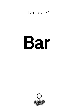Bernadette<sup>®</sup>

## Bar

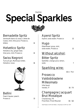## Daytime **Special Sparkles**



## Bernadette Spritz

Vermouth bianco & rosso, Crème de Cassis, mint, lime juice, Prosecco, bitters 14

## Helvetico Spritz

Helvetico dry, ginger beer, lime juice, mint, Prosecco 14

## Swiss Negroni

Turicum gin, Martinazzi bitter, Helvetico rosso 16



Bellini Peach liqueur, peach, Prosecco 13

## Aperol Spritz

Aperol, soda water, Prosecco 12

Hugo Elderflower syrup, mint, soda water, Prosecco 12

## Without alcohol;

## Bitter Spritz

Sanbitter, orange juice, lemon, soda 7

## Sparkling wine;

10cl / 75cl

Prosecco Valdobbiadene Millesimato Villa Sandi Veneto, IT 10 / 70

## Champagne Jacquart Brut Mosaïque

Chardonnay, FR Pinot Noir, Pinot Meunier 16 / 112

Alle Preise in CHF inkl. MwSt. / All prices in CHF incl. VAT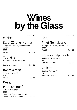## **Wines** by the Glass

10cl / 75cl

## White;

## Stadt Zürcher Kerner

Burghalde-Riesbach, Landolt Weine, Zürich 2020 Kerner 8.5 / 59

## **Touraine**

Françcois Chidaine, Loire, FR 2020 Sauvignon Blanc 7.5 / 52

## Roero Arneis

Malvirà, Piemont, IT 2020 Arneis 8 / 56

## Rosé;

### Miraflors Rosé

Côtes du Roussillon 2020 Domaine Lafage, Languedoc, FR Grenache Gris, Mourvèdre 8 / 56

### Red;

### Pinot Noir classic

Weingut Erich Meier, Uetikon, Zürich 2020 Pinot Noir 9.5/ 66

10cl / 75cl

## Ripasso Valpolicella

Monte del Frà, Veneto, IT 2018 Corvina, Rondinella 8 / 56

## Valletta

Gagliole, Toskana, IT 2017 Sangiovese, Merlot 9.5 / 66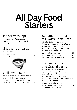# **All Day Food<br>Starters**

## Maiscrèmesuppe

mit marinierten Flusskrebsen *Corn cream soup with marinated crayfish* 15

### Gazpacho andaluz

mit Croûtons *Gazpacho andaluz with croûtons* 15



### Geflämmte Burrata

an mariniertem Pfirsich, bunte Tomaten und Chili-Balsamico Dressing *Flammed Burrata with marinated peach, tomatoes and chili-balsamico dressing* 18

### Bernadette's Tatar mit Swiss Prime Beef

mit roten Zwiebeln, Kapern, Pommery-Senf und frischen Kräutern, serviert mit Toast und Butter Bernadette's Swiss prime beef tartar *served with toast and butter* kleine Portion / *small portion* 29

grosse Portion / *large portion* 41 mit Cognac, Whisky oder Calvados +5

#### Irischer Rauchund Graved Lachs

serviert mit Apfel-Meerrettich, Honigsenf-Dillsauce, roten Zwiebeln, Kapern, Toast und Butter *Irish smoked and graved salmon with apple horseradish capers, honey-dill sauce and red onions served with toast and butter* kleine Portion / *small portion* 29 grosse Portion / *large portion* 41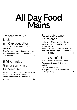# **All Day Food<br>Mains**

### Tranche vom Bio-Lachs mit Capresebutter

auf Gemüse-Balsamicobeet mit blauen Kartoffeln

*Slice from bio salmon with caprese butter with ramp-foam, asparagus ragout and blue potatoes* 38

### Erfrischendes Gemüsecurry mit Kichererbsen

serviert mit Basmatireis und Sesamcracker *Vegetable curry with chickpeas served with basmati rice and sesam crackers* 30

### Rosa gebratene Kalbsleber

verfeinert mit Tomaten, Pinienkernen, Marsala, Salbei und kräftigem Jus, serviert mit Rösti *Sautéed veal liver, refined with tomatoes, pine nuts, Marsala, sage and jus served with Rösti (180g)* 44

## Züri Gschnätzlets

vom Kalb mit leichter Champignon-Rahmsauce, Zürcher Weisswein und Rösti *Zürich style sliced veal with light white wine mushroom sauce and Rösti (140g)* 49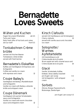## **Bernadette Loves Sweets**

## Wähen und Kuchen

fragen Sie unsere Mitarbeiter ab 6.5 *Tarts and Cakes Daily fresh offer of fruit tarts and cakes, ask our staff from 6.5*

### Tonkabohnen Crème brûlée

serviert mit frischen Beeren *Tonkabeans crème brûlèe served with fresh berries* 12

## Bernadette's Fiskaffee

Kaffee-und Vanilleglacé mit Espresso und Schlagrahm *Coffee and vanilla ice cream with espresso and cream* 12

## Coupe Bailey's

Vanilleglacé mit Baileys, Mandelkrokant und Schlagrahm *Vanilla ice cream with Baileys, almonds brittle and whipped cream* 11

## Coupe Dänemark

Vanilleglacé mit warmer Schokoladensauce und Schlagrahm *Vanilla ice cream with warm chocolate sauce and whippend cream* 12

## Kirsch Clafoutis

serviert mit Vanillesauce und Schokoglacé *Cherry clafoutis* 12 *served with vanilla sauce and chocolate ice cream*

### Solognotte / **Warmes** Apfeltartelette

mit Karamellsauce und Crème double de la Gruyère *Warm apple tart with caramel sauce and Crème double de la Gruyère* 14

## Glacé

Vanille, Schokolade, Kaffee, Erdbeer, Stracciatella, Karamell pro Kugel / *per scoop* 4.5 mit Schlagrahm / *with whipped*   $c$ ream  $+1$ 

## **Sorbets**

Zitrone, Mango-Passionsfrucht, Blutorange, Zwetschgen

pro Kugel / per scoop 4.5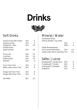



### Soft Drinks

| Gazosa Aranciata Amara         | 35cl             | 6   |
|--------------------------------|------------------|-----|
| Gazosa Limone                  | 35cl             | 6   |
| Rivella Rot / Blau             | 33 <sub>cl</sub> | 5.5 |
| Apfelschorle /                 |                  |     |
| Apple spritzer                 | 33cl             | 5.5 |
| Coca Cola                      | 33cl             | 5.5 |
| Cola Zero                      | 33cl             | 5.5 |
| Eistee Lemon                   | 33cl             | 5.5 |
| Red Bull                       | 25cl             | 8   |
| Tonic Fever Tree               | 20c1             | 6   |
| Bitter Lemon <i>Fever Tree</i> | 20c              | 6   |
| Ginger Ale Fever Tree          | 20c1             | 6   |
| Ginger Beer Fever Tree         | 20c1             | 6   |
| San Bitter                     | 10c              | 5.5 |

### Mineral / Water

Züriwasser ZH2O, drink & donate / *Tap water*

|                                      | 50cl  | २   |
|--------------------------------------|-------|-----|
|                                      | 100c1 | 6   |
| Valser Mineralwasser                 |       |     |
| mit & ohne Kohlensäure               | 33c1  | 5.5 |
| Valser water still or sparkling 75cl |       | 9.5 |

#### Säfte / Juices

| Orangensaft / orange juice | 20cl | 6 |
|----------------------------|------|---|
| Tomatensaft / Tomato       | 20c1 | 6 |
| Ananassaft / Pineapple     | 20c1 | 6 |
| Grapefruit                 | 20c1 | 6 |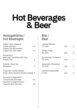# Hot Beverages<br>& Beer

### Heissgetränke / Hot Beverages

| Kaffee Crème, Espresso /<br>Coffee, espresso                                         | 4.5 |
|--------------------------------------------------------------------------------------|-----|
| Cappuccino, Milchkaffee /<br>Cappuccino, milk coffee                                 | 5.7 |
| Schwarztee /<br>Black teas: Darjeeling, Earl Grey,<br>Masala Chai                    | 5   |
| Grüntee / Green tea:<br>Morgentau                                                    | 5   |
| Infusionen / Herbal infusion:<br>Minze / <i>Mint</i> , Verveine, Rooibos-Orange 5    |     |
| Taucherli-Schoggi Milch /<br>Taucherli milk chocolate<br>Taucherli-Schoggi Schwarz / | 6.5 |
| Taucherli dark chocolate                                                             | 6.5 |

#### Bier / Beer

| Calanda Edelbräu<br>5.2 Vol%           | 33cl | 6 |
|----------------------------------------|------|---|
| Ittinger Amber<br>5.6 Vol%             | 33cl | 8 |
| Birra Moretti, L'Autentica<br>4.6 Vol% | 33cl |   |
| Appenzeller Weizenbier<br>5.2 Vol%     | 50cl |   |
| Leermond Appenzeller<br>O Vol%         | 33cl |   |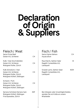## **Declaration** of Origin<br>& Suppliers

Fisch / Fish

### Fleisch / Meat

| Swiss Prime Beef<br>Geiser AG, Schlieren                                                                   | СH         | Swiss Alpine Salmon<br>Aquaculture                                                        | CH.  |
|------------------------------------------------------------------------------------------------------------|------------|-------------------------------------------------------------------------------------------|------|
| Kalb / Veal (Gschnätzlets)<br>Geiser AG, Schlieren<br>Metzgerei Keller, Zürich                             | CH.        | Rauchlachs, Salmon Salar<br>Rageth Comestibles AG,<br>Landquart                           | IF   |
| Kalb (Eckstück) / Veal<br>Geiser AG, Schlieren<br>Metzgerei Keller, Zürich<br>Metzgerei Köferli, Döttingen | CH.        | Graved Lachs, Salmon Salar<br>Rageth Comestibles AG,<br>Landquart                         | NOR. |
| Schwein / Pork<br>Geiser AG, Schlieren<br>Metzgerei Keller, Zürich<br>Metzgerei Köferli, Döttingen         | <b>CH</b>  |                                                                                           |      |
| Serrano Schinken/Serrano ham<br>Metzgerei Köferli, Döttingen<br>Frischparadies, Zürich                     | <b>ESP</b> | Bei Allergien oder Unverträglichkeiten,<br>wenden Sie sich bitte an unsere<br>Mitarbeiter |      |